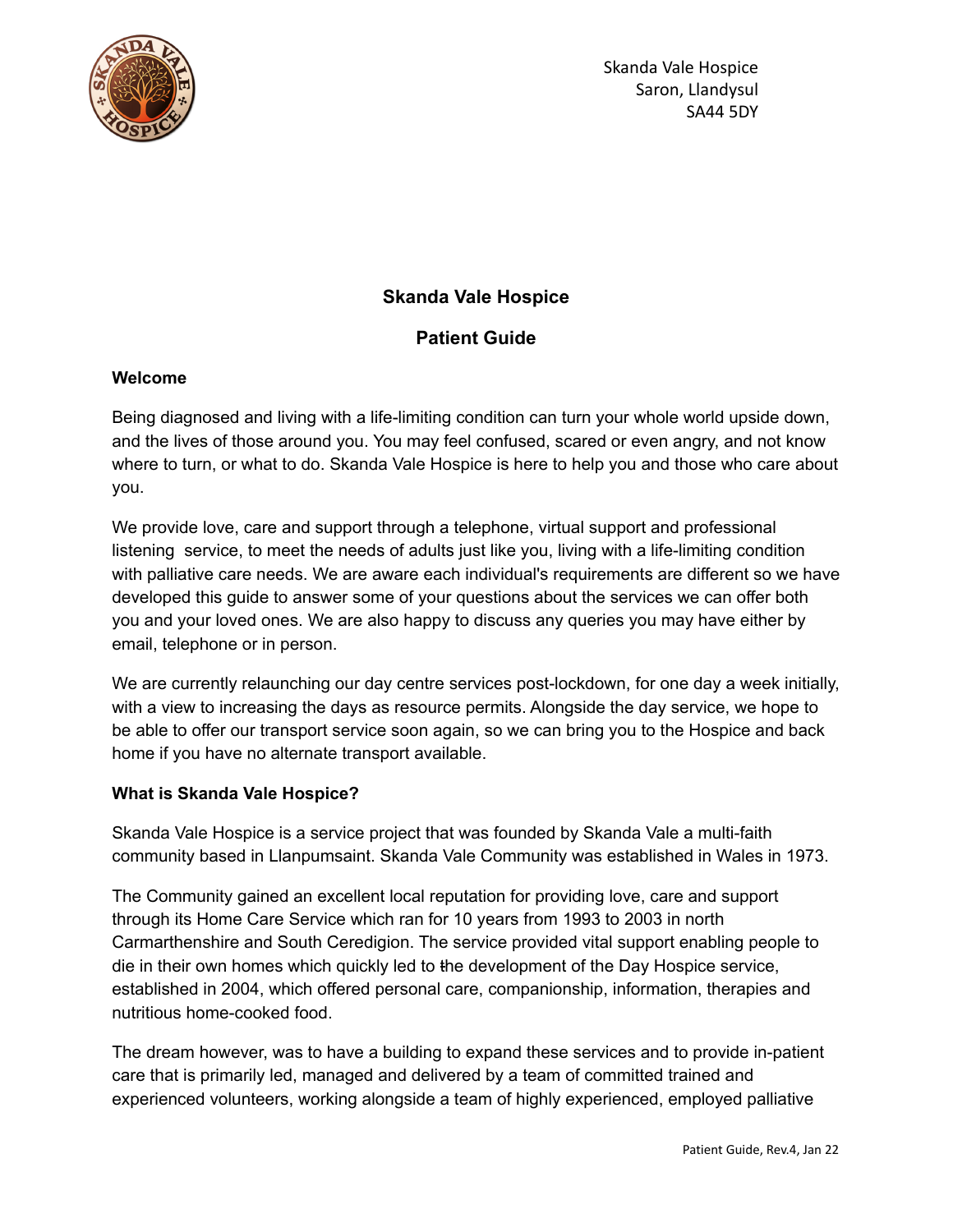

# **Skanda Vale Hospice**

# **Patient Guide**

## **Welcome**

Being diagnosed and living with a life-limiting condition can turn your whole world upside down, and the lives of those around you. You may feel confused, scared or even angry, and not know where to turn, or what to do. Skanda Vale Hospice is here to help you and those who care about you.

We provide love, care and support through a telephone, virtual support and professional listening service, to meet the needs of adults just like you, living with a life-limiting condition with palliative care needs. We are aware each individual's requirements are different so we have developed this guide to answer some of your questions about the services we can offer both you and your loved ones. We are also happy to discuss any queries you may have either by email, telephone or in person.

We are currently relaunching our day centre services post-lockdown, for one day a week initially, with a view to increasing the days as resource permits. Alongside the day service, we hope to be able to offer our transport service soon again, so we can bring you to the Hospice and back home if you have no alternate transport available.

## **What is Skanda Vale Hospice?**

Skanda Vale Hospice is a service project that was founded by Skanda Vale a multi-faith community based in Llanpumsaint. Skanda Vale Community was established in Wales in 1973.

The Community gained an excellent local reputation for providing love, care and support through its Home Care Service which ran for 10 years from 1993 to 2003 in north Carmarthenshire and South Ceredigion. The service provided vital support enabling people to die in their own homes which quickly led to the development of the Day Hospice service, established in 2004, which offered personal care, companionship, information, therapies and nutritious home-cooked food.

The dream however, was to have a building to expand these services and to provide in-patient care that is primarily led, managed and delivered by a team of committed trained and experienced volunteers, working alongside a team of highly experienced, employed palliative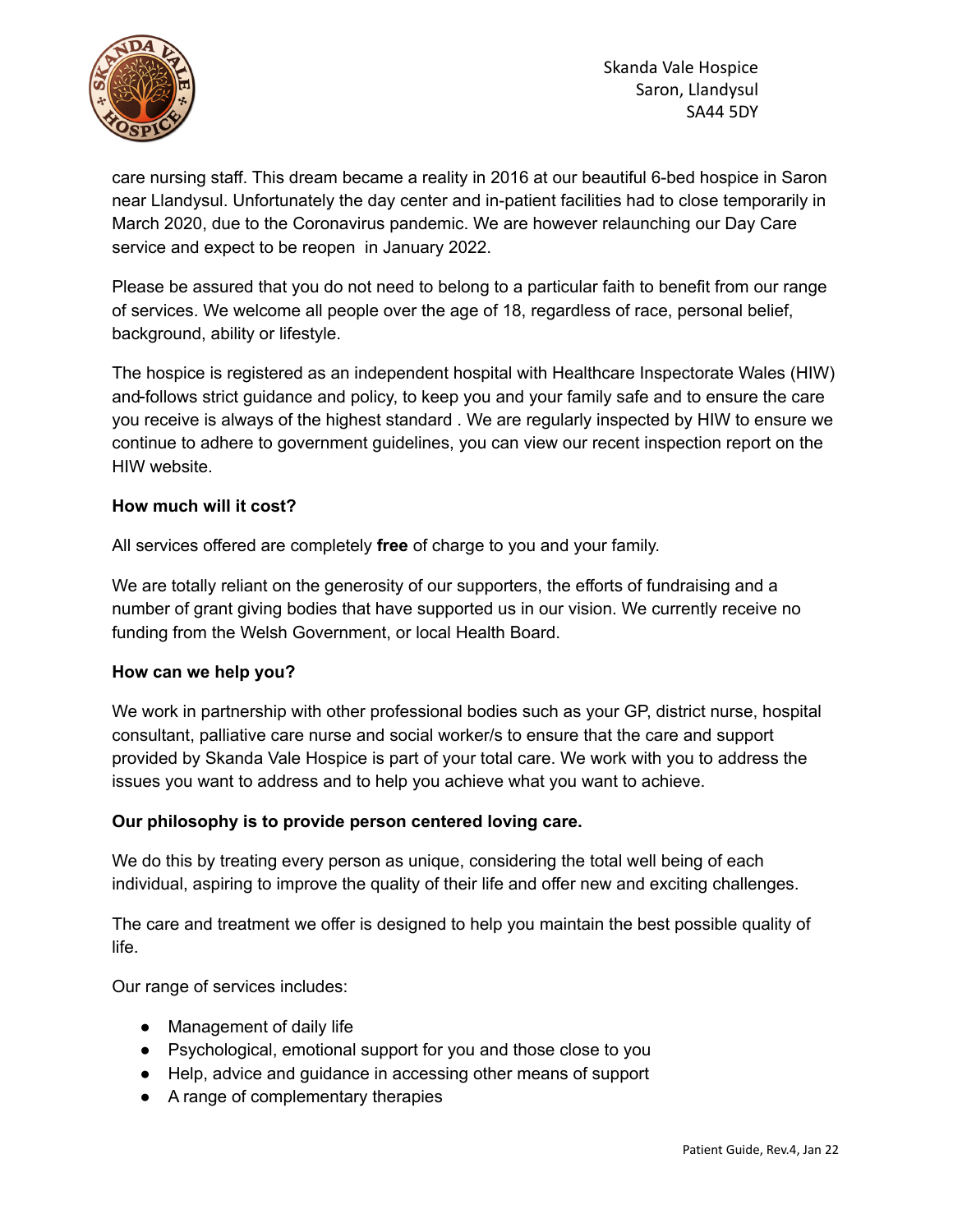

care nursing staff. This dream became a reality in 2016 at our beautiful 6-bed hospice in Saron near Llandysul. Unfortunately the day center and in-patient facilities had to close temporarily in March 2020, due to the Coronavirus pandemic. We are however relaunching our Day Care service and expect to be reopen in January 2022.

Please be assured that you do not need to belong to a particular faith to benefit from our range of services. We welcome all people over the age of 18, regardless of race, personal belief, background, ability or lifestyle.

The hospice is registered as an independent hospital with Healthcare Inspectorate Wales (HIW) and follows strict guidance and policy, to keep you and your family safe and to ensure the care you receive is always of the highest standard . We are regularly inspected by HIW to ensure we continue to adhere to government guidelines, you can view our recent inspection report on the HIW website.

## **How much will it cost?**

All services offered are completely **free** of charge to you and your family.

We are totally reliant on the generosity of our supporters, the efforts of fundraising and a number of grant giving bodies that have supported us in our vision. We currently receive no funding from the Welsh Government, or local Health Board.

#### **How can we help you?**

We work in partnership with other professional bodies such as your GP, district nurse, hospital consultant, palliative care nurse and social worker/s to ensure that the care and support provided by Skanda Vale Hospice is part of your total care. We work with you to address the issues you want to address and to help you achieve what you want to achieve.

#### **Our philosophy is to provide person centered loving care.**

We do this by treating every person as unique, considering the total well being of each individual, aspiring to improve the quality of their life and offer new and exciting challenges.

The care and treatment we offer is designed to help you maintain the best possible quality of life.

Our range of services includes:

- Management of daily life
- Psychological, emotional support for you and those close to you
- Help, advice and guidance in accessing other means of support
- A range of complementary therapies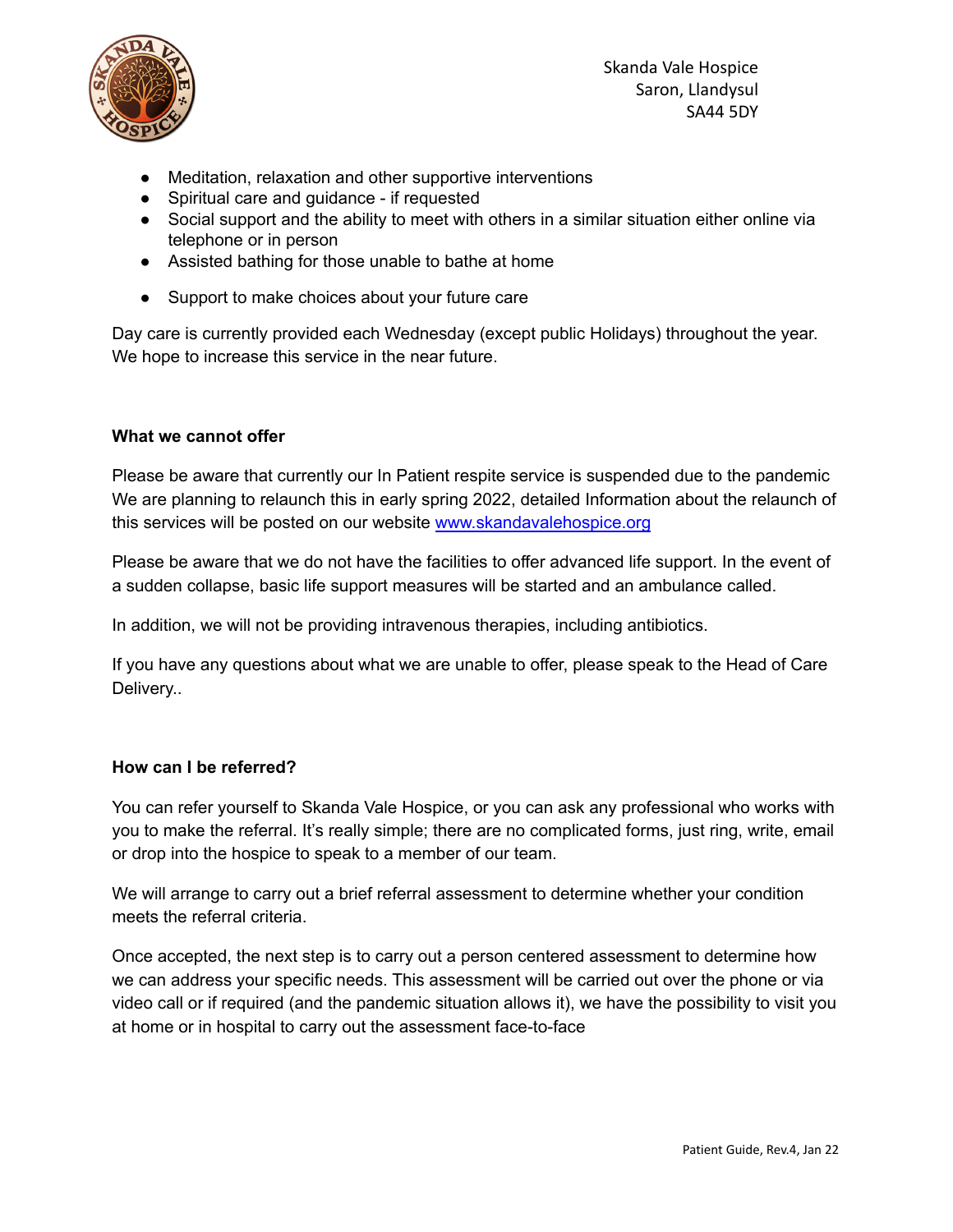

Skanda Vale Hospice Saron, Llandysul SA44 5DY

- Meditation, relaxation and other supportive interventions
- Spiritual care and guidance if requested
- Social support and the ability to meet with others in a similar situation either online via telephone or in person
- Assisted bathing for those unable to bathe at home
- Support to make choices about your future care

Day care is currently provided each Wednesday (except public Holidays) throughout the year. We hope to increase this service in the near future.

#### **What we cannot offer**

Please be aware that currently our In Patient respite service is suspended due to the pandemic We are planning to relaunch this in early spring 2022, detailed Information about the relaunch of this services will be posted on our website [www.skandavalehospice.org](http://www.skandavalehospice.org)

Please be aware that we do not have the facilities to offer advanced life support. In the event of a sudden collapse, basic life support measures will be started and an ambulance called.

In addition, we will not be providing intravenous therapies, including antibiotics.

If you have any questions about what we are unable to offer, please speak to the Head of Care Delivery..

#### **How can I be referred?**

You can refer yourself to Skanda Vale Hospice, or you can ask any professional who works with you to make the referral. It's really simple; there are no complicated forms, just ring, write, email or drop into the hospice to speak to a member of our team.

We will arrange to carry out a brief referral assessment to determine whether your condition meets the referral criteria.

Once accepted, the next step is to carry out a person centered assessment to determine how we can address your specific needs. This assessment will be carried out over the phone or via video call or if required (and the pandemic situation allows it), we have the possibility to visit you at home or in hospital to carry out the assessment face-to-face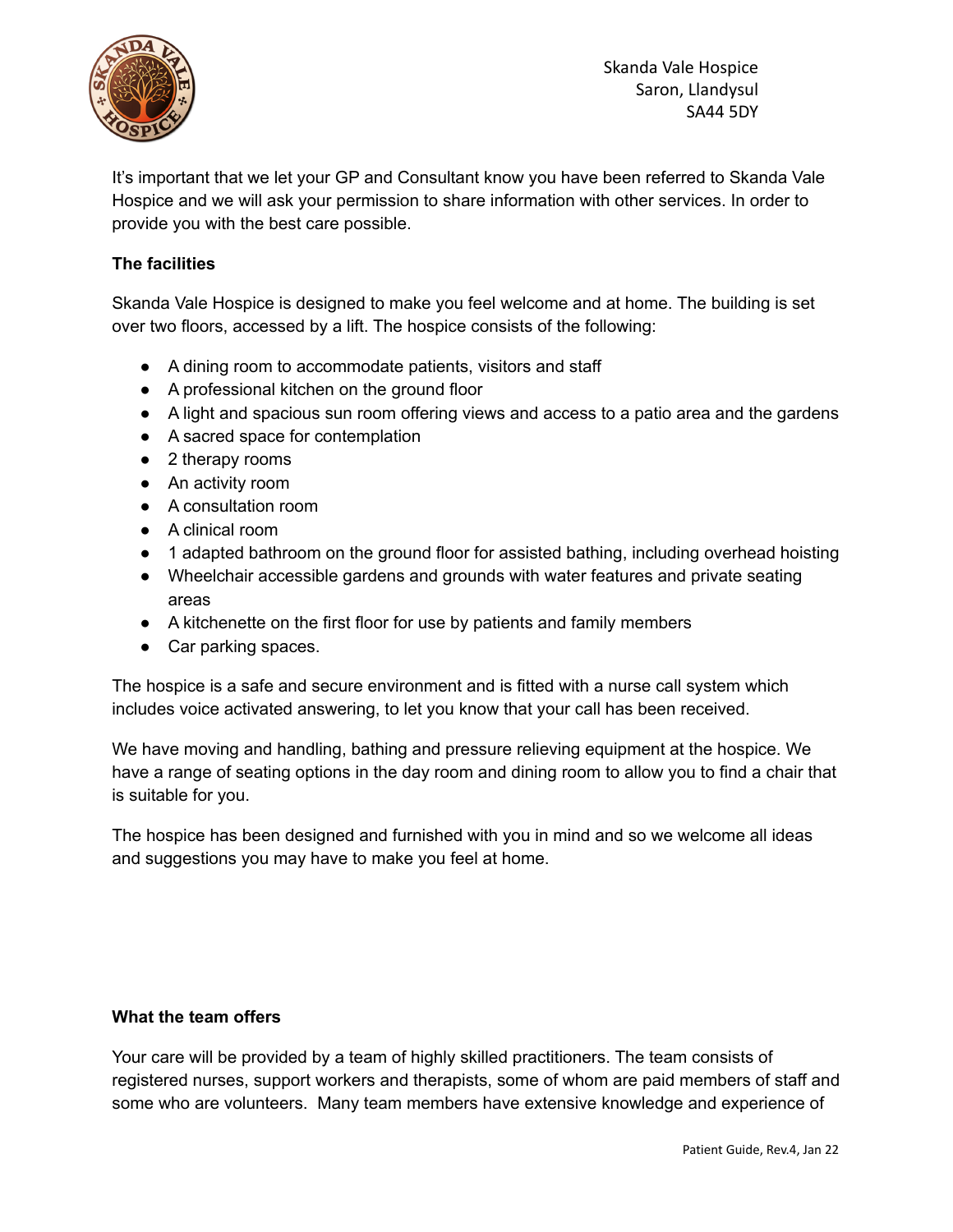

Skanda Vale Hospice Saron, Llandysul SA44 5DY

It's important that we let your GP and Consultant know you have been referred to Skanda Vale Hospice and we will ask your permission to share information with other services. In order to provide you with the best care possible.

## **The facilities**

Skanda Vale Hospice is designed to make you feel welcome and at home. The building is set over two floors, accessed by a lift. The hospice consists of the following:

- A dining room to accommodate patients, visitors and staff
- A professional kitchen on the ground floor
- A light and spacious sun room offering views and access to a patio area and the gardens
- A sacred space for contemplation
- 2 therapy rooms
- An activity room
- A consultation room
- A clinical room
- 1 adapted bathroom on the ground floor for assisted bathing, including overhead hoisting
- Wheelchair accessible gardens and grounds with water features and private seating areas
- A kitchenette on the first floor for use by patients and family members
- Car parking spaces.

The hospice is a safe and secure environment and is fitted with a nurse call system which includes voice activated answering, to let you know that your call has been received.

We have moving and handling, bathing and pressure relieving equipment at the hospice. We have a range of seating options in the day room and dining room to allow you to find a chair that is suitable for you.

The hospice has been designed and furnished with you in mind and so we welcome all ideas and suggestions you may have to make you feel at home.

#### **What the team offers**

Your care will be provided by a team of highly skilled practitioners. The team consists of registered nurses, support workers and therapists, some of whom are paid members of staff and some who are volunteers. Many team members have extensive knowledge and experience of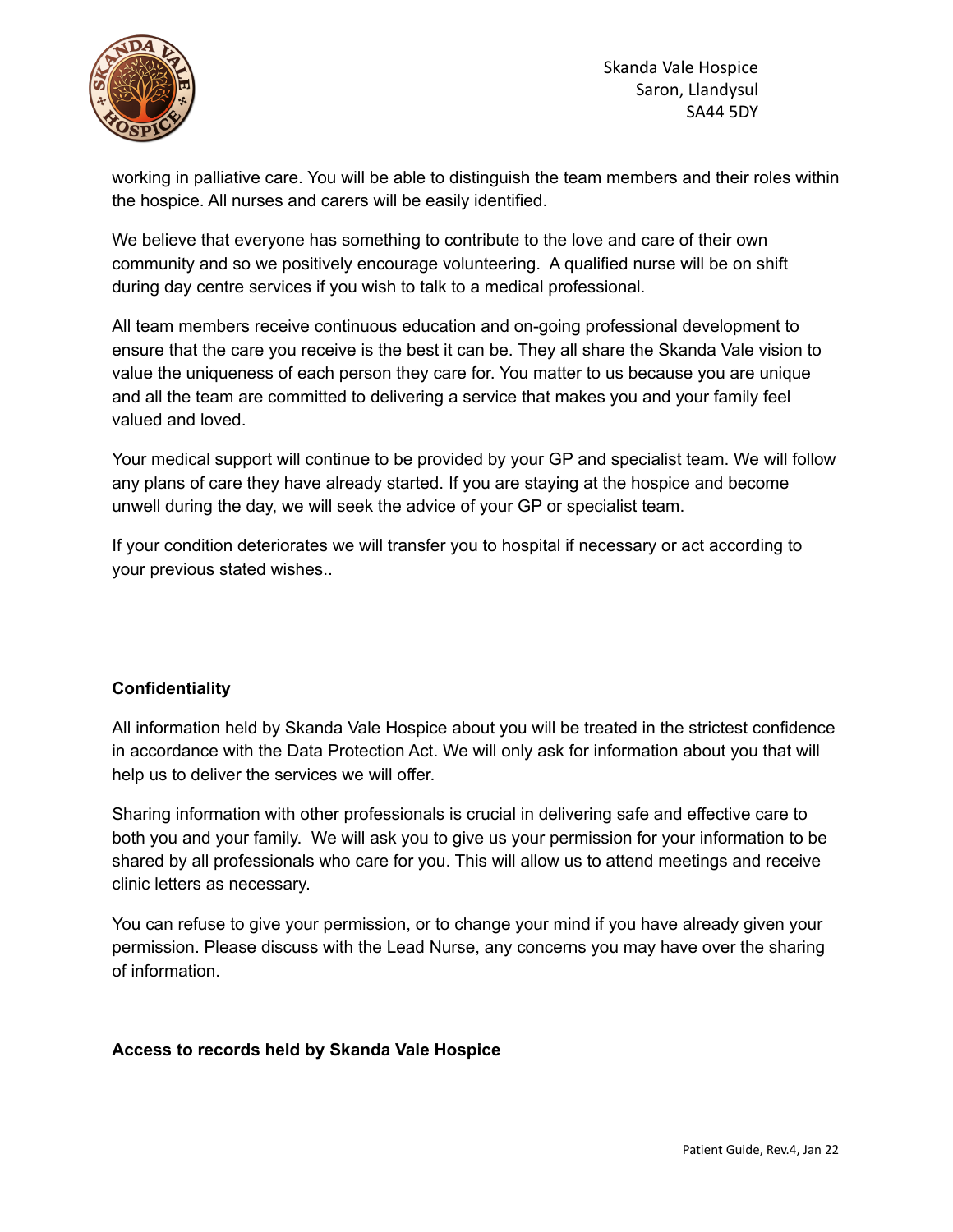

working in palliative care. You will be able to distinguish the team members and their roles within the hospice. All nurses and carers will be easily identified.

We believe that everyone has something to contribute to the love and care of their own community and so we positively encourage volunteering. A qualified nurse will be on shift during day centre services if you wish to talk to a medical professional.

All team members receive continuous education and on-going professional development to ensure that the care you receive is the best it can be. They all share the Skanda Vale vision to value the uniqueness of each person they care for. You matter to us because you are unique and all the team are committed to delivering a service that makes you and your family feel valued and loved.

Your medical support will continue to be provided by your GP and specialist team. We will follow any plans of care they have already started. If you are staying at the hospice and become unwell during the day, we will seek the advice of your GP or specialist team.

If your condition deteriorates we will transfer you to hospital if necessary or act according to your previous stated wishes..

## **Confidentiality**

All information held by Skanda Vale Hospice about you will be treated in the strictest confidence in accordance with the Data Protection Act. We will only ask for information about you that will help us to deliver the services we will offer.

Sharing information with other professionals is crucial in delivering safe and effective care to both you and your family. We will ask you to give us your permission for your information to be shared by all professionals who care for you. This will allow us to attend meetings and receive clinic letters as necessary.

You can refuse to give your permission, or to change your mind if you have already given your permission. Please discuss with the Lead Nurse, any concerns you may have over the sharing of information.

## **Access to records held by Skanda Vale Hospice**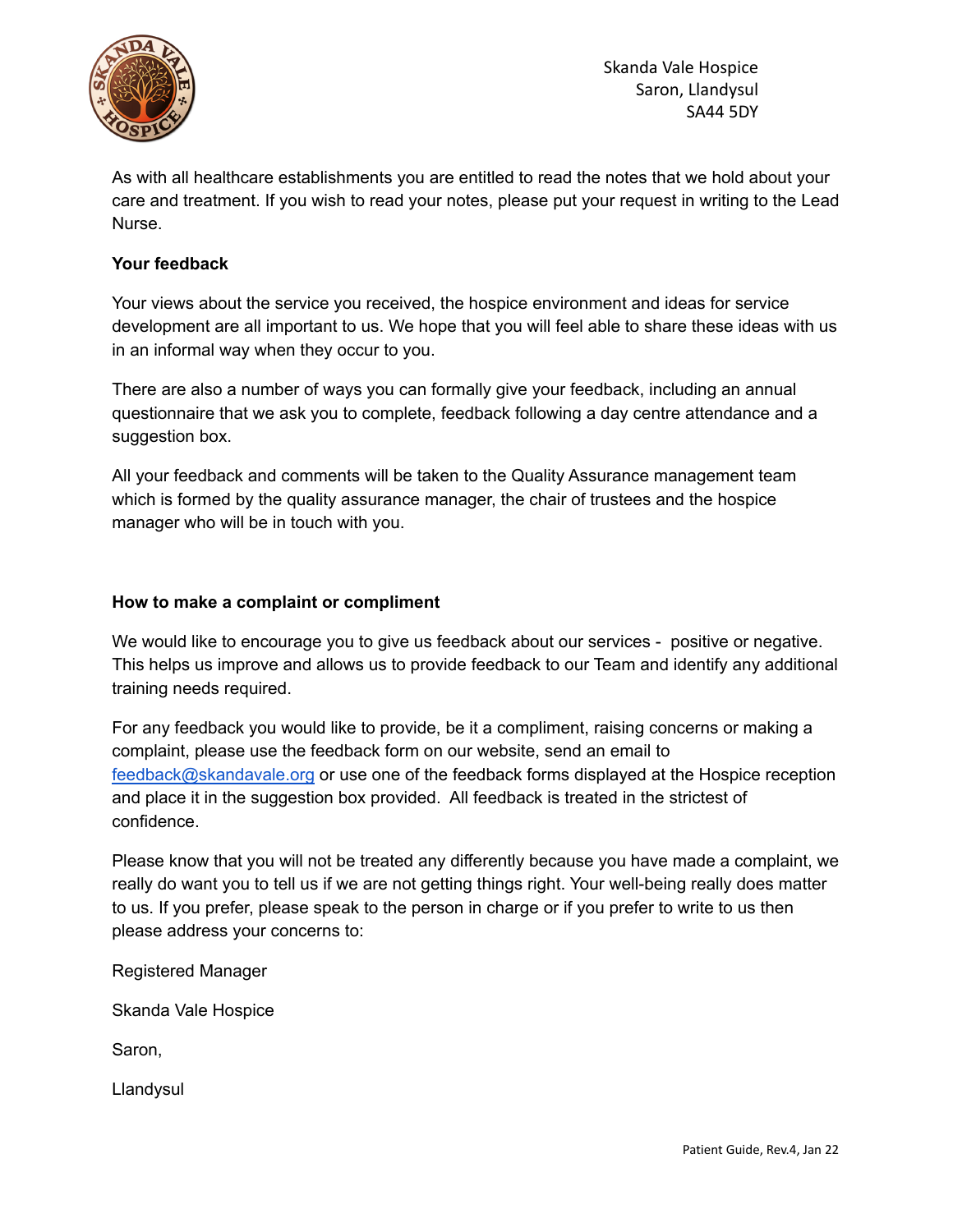

Skanda Vale Hospice Saron, Llandysul SA44 5DY

As with all healthcare establishments you are entitled to read the notes that we hold about your care and treatment. If you wish to read your notes, please put your request in writing to the Lead Nurse.

### **Your feedback**

Your views about the service you received, the hospice environment and ideas for service development are all important to us. We hope that you will feel able to share these ideas with us in an informal way when they occur to you.

There are also a number of ways you can formally give your feedback, including an annual questionnaire that we ask you to complete, feedback following a day centre attendance and a suggestion box.

All your feedback and comments will be taken to the Quality Assurance management team which is formed by the quality assurance manager, the chair of trustees and the hospice manager who will be in touch with you.

#### **How to make a complaint or compliment**

We would like to encourage you to give us feedback about our services - positive or negative. This helps us improve and allows us to provide feedback to our Team and identify any additional training needs required.

For any feedback you would like to provide, be it a compliment, raising concerns or making a complaint, please use the feedback form on our website, send an email to [feedback@skandavale.org](mailto:feedback@skandavale.org) or use one of the feedback forms displayed at the Hospice reception and place it in the suggestion box provided. All feedback is treated in the strictest of confidence.

Please know that you will not be treated any differently because you have made a complaint, we really do want you to tell us if we are not getting things right. Your well-being really does matter to us. If you prefer, please speak to the person in charge or if you prefer to write to us then please address your concerns to:

Registered Manager

Skanda Vale Hospice

Saron,

Llandysul